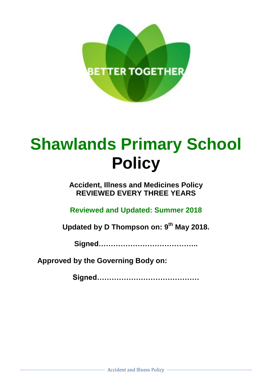

# **Shawlands Primary School Policy**

**Accident, Illness and Medicines Policy REVIEWED EVERY THREE YEARS**

**Reviewed and Updated: Summer 2018**

**Updated by D Thompson on: 9 th May 2018.**

**Signed…………………………………..**

**Approved by the Governing Body on:**

**Signed……………………………………**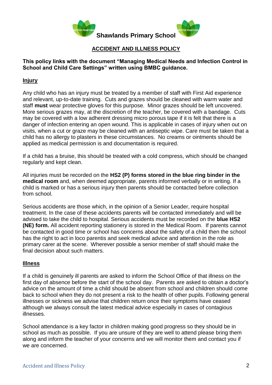

## **ACCIDENT AND ILLNESS POLICY**

## **This policy links with the document "Managing Medical Needs and Infection Control in School and Child Care Settings" written using BMBC guidance.**

## **Injury**

Any child who has an injury must be treated by a member of staff with First Aid experience and relevant, up-to-date training. Cuts and grazes should be cleaned with warm water and staff **must** wear protective gloves for this purpose. Minor grazes should be left uncovered. More serious grazes may, at the discretion of the teacher, be covered with a bandage. Cuts may be covered with a low adherent dressing micro porous tape if it is felt that there is a danger of infection entering an open wound. This is applicable in cases of injury when out on visits, when a cut or graze may be cleaned with an antiseptic wipe. Care must be taken that a child has no allergy to plasters in these circumstances. No creams or ointments should be applied as medical permission is and documentation is required.

If a child has a bruise, this should be treated with a cold compress, which should be changed regularly and kept clean.

All injuries must be recorded on the **HS2 (P) forms stored in the blue ring binder in the medical room** and, when deemed appropriate, parents informed verbally or in writing. If a child is marked or has a serious injury then parents should be contacted before collection from school.

Serious accidents are those which, in the opinion of a Senior Leader, require hospital treatment. In the case of these accidents parents will be contacted immediately and will be advised to take the child to hospital. Serious accidents must be recorded on the **blue HS2 (NE) form.** All accident reporting stationery is stored in the Medical Room. If parents cannot be contacted in good time or school has concerns about the safety of a child then the school has the right to act in loco parentis and seek medical advice and attention in the role as primary carer at the scene. Wherever possible a senior member of staff should make the final decision about such matters.

## **Illness**

If a child is genuinely ill parents are asked to inform the School Office of that illness on the first day of absence before the start of the school day. Parents are asked to obtain a doctor's advice on the amount of time a child should be absent from school and children should come back to school when they do not present a risk to the health of other pupils. Following general illnesses or sickness we advise that children return once their symptoms have ceased although we always consult the latest medical advice especially in cases of contagious illnesses.

School attendance is a key factor in children making good progress so they should be in school as much as possible. If you are unsure of they are well to attend please bring them along and inform the teacher of your concerns and we will monitor them and contact you if we are concerned.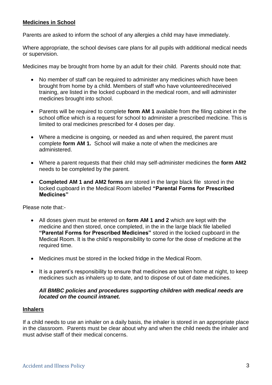## **Medicines in School**

Parents are asked to inform the school of any allergies a child may have immediately.

Where appropriate, the school devises care plans for all pupils with additional medical needs or supervision.

Medicines may be brought from home by an adult for their child. Parents should note that:

- No member of staff can be required to administer any medicines which have been brought from home by a child. Members of staff who have volunteered/received training, are listed in the locked cupboard in the medical room, and will administer medicines brought into school.
- Parents will be required to complete form AM 1 available from the filing cabinet in the school office which is a request for school to administer a prescribed medicine. This is limited to oral medicines prescribed for 4 doses per day.
- Where a medicine is ongoing, or needed as and when required, the parent must complete **form AM 1.** School will make a note of when the medicines are administered.
- Where a parent requests that their child may self-administer medicines the **form AM2** needs to be completed by the parent.
- **Completed AM 1 and AM2 forms** are stored in the large black file stored in the locked cupboard in the Medical Room labelled **"Parental Forms for Prescribed Medicines"**

Please note that:-

- All doses given must be entered on **form AM 1 and 2** which are kept with the medicine and then stored, once completed, in the in the large black file labelled **"Parental Forms for Prescribed Medicines"** stored in the locked cupboard in the Medical Room. It is the child's responsibility to come for the dose of medicine at the required time.
- Medicines must be stored in the locked fridge in the Medical Room.
- It is a parent's responsibility to ensure that medicines are taken home at night, to keep medicines such as inhalers up to date, and to dispose of out of date medicines.

#### *All BMBC policies and procedures supporting children with medical needs are located on the council intranet.*

#### **Inhalers**

If a child needs to use an inhaler on a daily basis, the inhaler is stored in an appropriate place in the classroom. Parents must be clear about why and when the child needs the inhaler and must advise staff of their medical concerns.